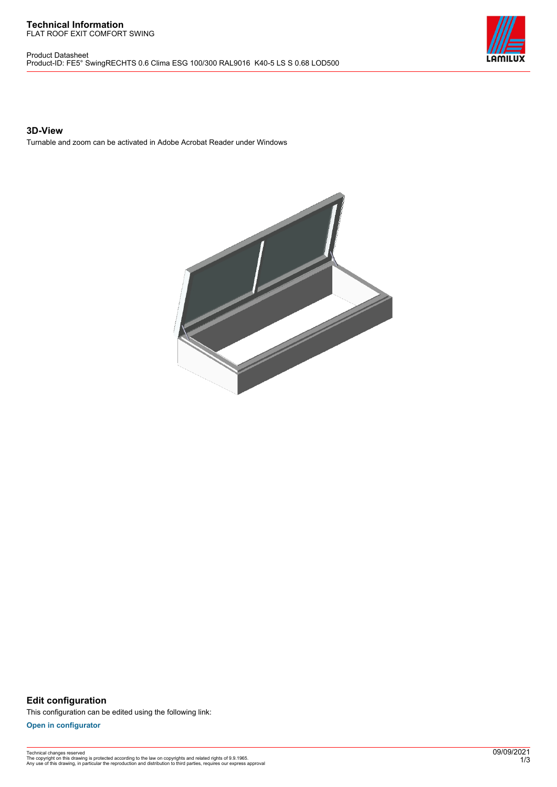#### **Technical Information** FLAT ROOF EXIT COMFORT SWING

Product Datasheet Product-ID: FE5° SwingRECHTS 0.6 Clima ESG 100/300 RAL9016 K40-5 LS S 0.68 LOD500



### **3D-View**

Turnable and zoom can be activated in Adobe Acrobat Reader under Windows



**Edit configuration** This configuration can be edited using the following link:

**[Open in configurator](https://bimconfig.lamilux.com//?quickcode=GGEVGC)**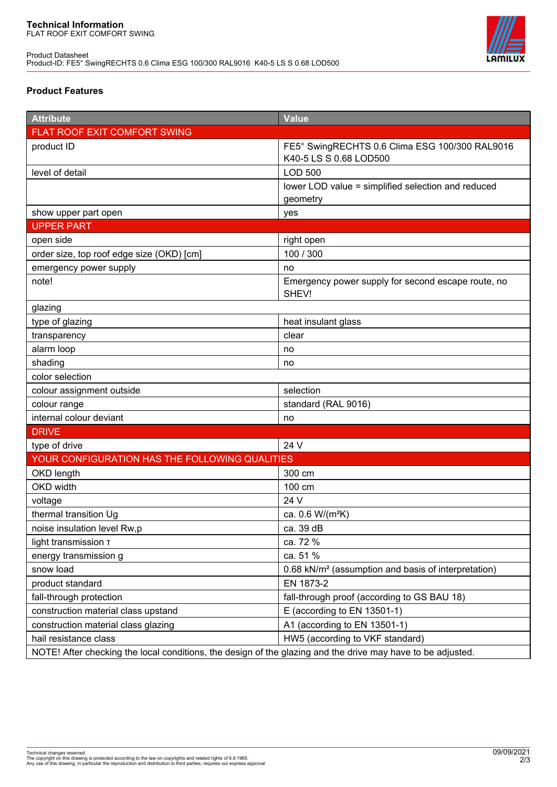

# **Product Features**

| <b>Attribute</b>                                                                                            | Value                                                                    |
|-------------------------------------------------------------------------------------------------------------|--------------------------------------------------------------------------|
| FLAT ROOF EXIT COMFORT SWING                                                                                |                                                                          |
| product ID                                                                                                  | FE5° SwingRECHTS 0.6 Clima ESG 100/300 RAL9016<br>K40-5 LS S 0.68 LOD500 |
| level of detail                                                                                             | <b>LOD 500</b>                                                           |
|                                                                                                             | lower LOD value = simplified selection and reduced<br>geometry           |
| show upper part open                                                                                        | yes                                                                      |
| <b>UPPER PART</b>                                                                                           |                                                                          |
| open side                                                                                                   | right open                                                               |
| order size, top roof edge size (OKD) [cm]                                                                   | 100 / 300                                                                |
| emergency power supply                                                                                      | no                                                                       |
| note!                                                                                                       | Emergency power supply for second escape route, no<br>SHEV!              |
| glazing                                                                                                     |                                                                          |
| type of glazing                                                                                             | heat insulant glass                                                      |
| transparency                                                                                                | clear                                                                    |
| alarm loop                                                                                                  | no                                                                       |
| shading                                                                                                     | no                                                                       |
| color selection                                                                                             |                                                                          |
| colour assignment outside                                                                                   | selection                                                                |
| colour range                                                                                                | standard (RAL 9016)                                                      |
| internal colour deviant                                                                                     | no                                                                       |
| <b>DRIVE</b>                                                                                                |                                                                          |
| type of drive                                                                                               | 24 V                                                                     |
| YOUR CONFIGURATION HAS THE FOLLOWING QUALITIES                                                              |                                                                          |
| OKD length                                                                                                  | 300 cm                                                                   |
| OKD width                                                                                                   | 100 cm                                                                   |
| voltage                                                                                                     | 24 V                                                                     |
| thermal transition Ug                                                                                       | ca. 0.6 W/(m <sup>2</sup> K)                                             |
| noise insulation level Rw,p                                                                                 | ca. 39 dB                                                                |
| light transmission T                                                                                        | ca. 72 %                                                                 |
| energy transmission g                                                                                       | ca. 51 %                                                                 |
| snow load                                                                                                   | 0.68 kN/m <sup>2</sup> (assumption and basis of interpretation)          |
| product standard                                                                                            | EN 1873-2                                                                |
| fall-through protection                                                                                     | fall-through proof (according to GS BAU 18)                              |
| construction material class upstand                                                                         | E (according to EN 13501-1)                                              |
| construction material class glazing                                                                         | A1 (according to EN 13501-1)                                             |
| hail resistance class                                                                                       | HW5 (according to VKF standard)                                          |
| NOTE! After checking the local conditions, the design of the glazing and the drive may have to be adjusted. |                                                                          |